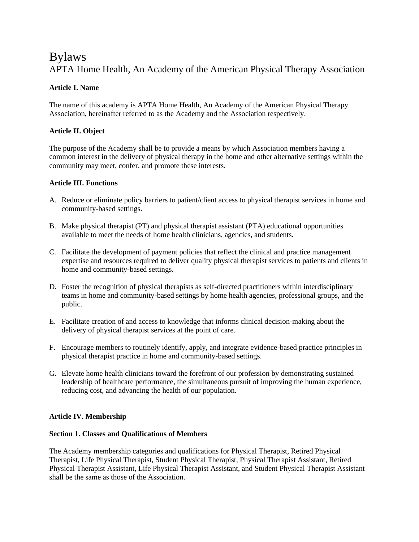# Bylaws APTA Home Health, An Academy of the American Physical Therapy Association

# **Article I. Name**

The name of this academy is APTA Home Health, An Academy of the American Physical Therapy Association, hereinafter referred to as the Academy and the Association respectively.

# **Article II. Object**

The purpose of the Academy shall be to provide a means by which Association members having a common interest in the delivery of physical therapy in the home and other alternative settings within the community may meet, confer, and promote these interests.

# **Article III. Functions**

- A. Reduce or eliminate policy barriers to patient/client access to physical therapist services in home and community-based settings.
- B. Make physical therapist (PT) and physical therapist assistant (PTA) educational opportunities available to meet the needs of home health clinicians, agencies, and students.
- C. Facilitate the development of payment policies that reflect the clinical and practice management expertise and resources required to deliver quality physical therapist services to patients and clients in home and community-based settings.
- D. Foster the recognition of physical therapists as self-directed practitioners within interdisciplinary teams in home and community-based settings by home health agencies, professional groups, and the public.
- E. Facilitate creation of and access to knowledge that informs clinical decision-making about the delivery of physical therapist services at the point of care.
- F. Encourage members to routinely identify, apply, and integrate evidence-based practice principles in physical therapist practice in home and community-based settings.
- G. Elevate home health clinicians toward the forefront of our profession by demonstrating sustained leadership of healthcare performance, the simultaneous pursuit of improving the human experience, reducing cost, and advancing the health of our population.

# **Article IV. Membership**

# **Section 1. Classes and Qualifications of Members**

The Academy membership categories and qualifications for Physical Therapist, Retired Physical Therapist, Life Physical Therapist, Student Physical Therapist, Physical Therapist Assistant, Retired Physical Therapist Assistant, Life Physical Therapist Assistant, and Student Physical Therapist Assistant shall be the same as those of the Association.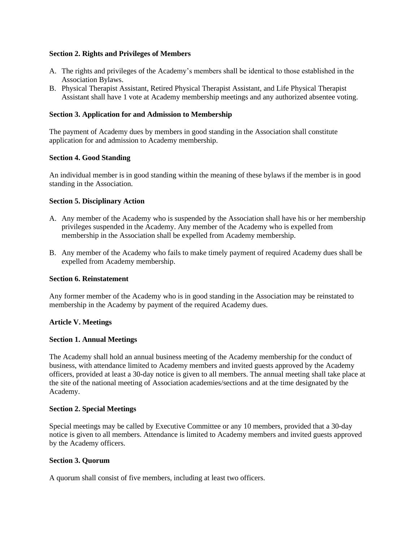### **Section 2. Rights and Privileges of Members**

- A. The rights and privileges of the Academy's members shall be identical to those established in the Association Bylaws.
- B. Physical Therapist Assistant, Retired Physical Therapist Assistant, and Life Physical Therapist Assistant shall have 1 vote at Academy membership meetings and any authorized absentee voting.

### **Section 3. Application for and Admission to Membership**

The payment of Academy dues by members in good standing in the Association shall constitute application for and admission to Academy membership.

### **Section 4. Good Standing**

An individual member is in good standing within the meaning of these bylaws if the member is in good standing in the Association.

### **Section 5. Disciplinary Action**

- A. Any member of the Academy who is suspended by the Association shall have his or her membership privileges suspended in the Academy. Any member of the Academy who is expelled from membership in the Association shall be expelled from Academy membership.
- B. Any member of the Academy who fails to make timely payment of required Academy dues shall be expelled from Academy membership.

#### **Section 6. Reinstatement**

Any former member of the Academy who is in good standing in the Association may be reinstated to membership in the Academy by payment of the required Academy dues.

# **Article V. Meetings**

#### **Section 1. Annual Meetings**

The Academy shall hold an annual business meeting of the Academy membership for the conduct of business, with attendance limited to Academy members and invited guests approved by the Academy officers, provided at least a 30-day notice is given to all members. The annual meeting shall take place at the site of the national meeting of Association academies/sections and at the time designated by the Academy.

#### **Section 2. Special Meetings**

Special meetings may be called by Executive Committee or any 10 members, provided that a 30-day notice is given to all members. Attendance is limited to Academy members and invited guests approved by the Academy officers.

#### **Section 3. Quorum**

A quorum shall consist of five members, including at least two officers.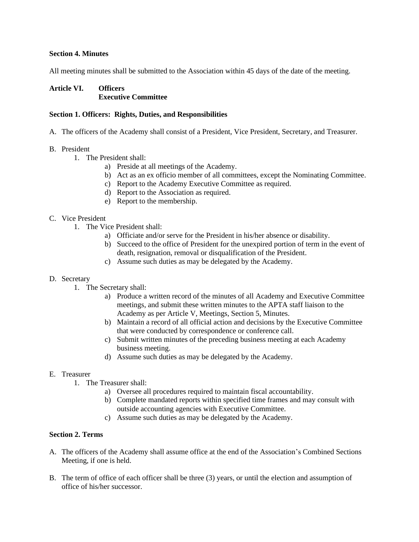### **Section 4. Minutes**

All meeting minutes shall be submitted to the Association within 45 days of the date of the meeting.

# **Article VI. Officers Executive Committee**

### **Section 1. Officers: Rights, Duties, and Responsibilities**

- A. The officers of the Academy shall consist of a President, Vice President, Secretary, and Treasurer.
- B. President
	- 1. The President shall:
		- a) Preside at all meetings of the Academy.
		- b) Act as an ex officio member of all committees, except the Nominating Committee.
		- c) Report to the Academy Executive Committee as required.
		- d) Report to the Association as required.
		- e) Report to the membership.

# C. Vice President

- 1. The Vice President shall:
	- a) Officiate and/or serve for the President in his/her absence or disability.
	- b) Succeed to the office of President for the unexpired portion of term in the event of death, resignation, removal or disqualification of the President.
	- c) Assume such duties as may be delegated by the Academy.

#### D. Secretary

- 1. The Secretary shall:
	- a) Produce a written record of the minutes of all Academy and Executive Committee meetings, and submit these written minutes to the APTA staff liaison to the Academy as per Article V, Meetings, Section 5, Minutes.
	- b) Maintain a record of all official action and decisions by the Executive Committee that were conducted by correspondence or conference call.
	- c) Submit written minutes of the preceding business meeting at each Academy business meeting.
	- d) Assume such duties as may be delegated by the Academy.

#### E. Treasurer

- 1. The Treasurer shall:
	- a) Oversee all procedures required to maintain fiscal accountability.
	- b) Complete mandated reports within specified time frames and may consult with outside accounting agencies with Executive Committee.
	- c) Assume such duties as may be delegated by the Academy.

# **Section 2. Terms**

- A. The officers of the Academy shall assume office at the end of the Association's Combined Sections Meeting, if one is held.
- B. The term of office of each officer shall be three (3) years, or until the election and assumption of office of his/her successor.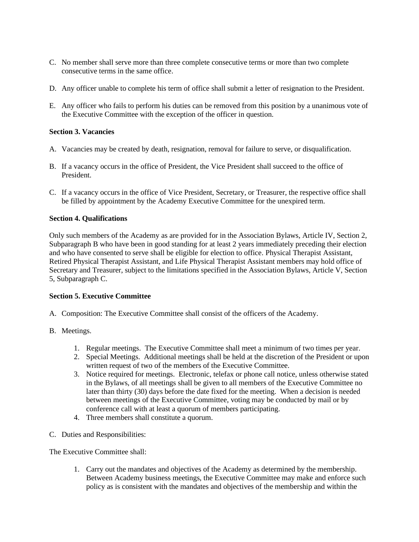- C. No member shall serve more than three complete consecutive terms or more than two complete consecutive terms in the same office.
- D. Any officer unable to complete his term of office shall submit a letter of resignation to the President.
- E. Any officer who fails to perform his duties can be removed from this position by a unanimous vote of the Executive Committee with the exception of the officer in question.

# **Section 3. Vacancies**

- A. Vacancies may be created by death, resignation, removal for failure to serve, or disqualification.
- B. If a vacancy occurs in the office of President, the Vice President shall succeed to the office of President.
- C. If a vacancy occurs in the office of Vice President, Secretary, or Treasurer, the respective office shall be filled by appointment by the Academy Executive Committee for the unexpired term.

# **Section 4. Qualifications**

Only such members of the Academy as are provided for in the Association Bylaws, Article IV, Section 2, Subparagraph B who have been in good standing for at least 2 years immediately preceding their election and who have consented to serve shall be eligible for election to office. Physical Therapist Assistant, Retired Physical Therapist Assistant, and Life Physical Therapist Assistant members may hold office of Secretary and Treasurer, subject to the limitations specified in the Association Bylaws, Article V, Section 5, Subparagraph C.

# **Section 5. Executive Committee**

- A. Composition: The Executive Committee shall consist of the officers of the Academy.
- B. Meetings.
	- 1. Regular meetings. The Executive Committee shall meet a minimum of two times per year.
	- 2. Special Meetings. Additional meetings shall be held at the discretion of the President or upon written request of two of the members of the Executive Committee.
	- 3. Notice required for meetings. Electronic, telefax or phone call notice, unless otherwise stated in the Bylaws, of all meetings shall be given to all members of the Executive Committee no later than thirty (30) days before the date fixed for the meeting. When a decision is needed between meetings of the Executive Committee, voting may be conducted by mail or by conference call with at least a quorum of members participating.
	- 4. Three members shall constitute a quorum.
- C. Duties and Responsibilities:

The Executive Committee shall:

1. Carry out the mandates and objectives of the Academy as determined by the membership. Between Academy business meetings, the Executive Committee may make and enforce such policy as is consistent with the mandates and objectives of the membership and within the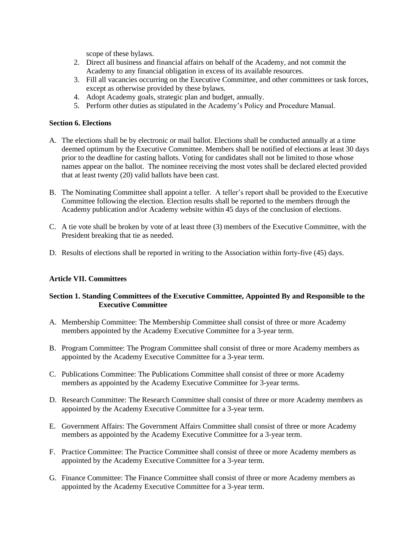scope of these bylaws.

- 2. Direct all business and financial affairs on behalf of the Academy, and not commit the Academy to any financial obligation in excess of its available resources.
- 3. Fill all vacancies occurring on the Executive Committee, and other committees or task forces, except as otherwise provided by these bylaws.
- 4. Adopt Academy goals, strategic plan and budget, annually.
- 5. Perform other duties as stipulated in the Academy's Policy and Procedure Manual.

# **Section 6. Elections**

- A. The elections shall be by electronic or mail ballot. Elections shall be conducted annually at a time deemed optimum by the Executive Committee. Members shall be notified of elections at least 30 days prior to the deadline for casting ballots. Voting for candidates shall not be limited to those whose names appear on the ballot. The nominee receiving the most votes shall be declared elected provided that at least twenty (20) valid ballots have been cast.
- B. The Nominating Committee shall appoint a teller. A teller's report shall be provided to the Executive Committee following the election. Election results shall be reported to the members through the Academy publication and/or Academy website within 45 days of the conclusion of elections.
- C. A tie vote shall be broken by vote of at least three (3) members of the Executive Committee, with the President breaking that tie as needed.
- D. Results of elections shall be reported in writing to the Association within forty-five (45) days.

# **Article VII. Committees**

# **Section 1. Standing Committees of the Executive Committee, Appointed By and Responsible to the Executive Committee**

- A. Membership Committee: The Membership Committee shall consist of three or more Academy members appointed by the Academy Executive Committee for a 3-year term.
- B. Program Committee: The Program Committee shall consist of three or more Academy members as appointed by the Academy Executive Committee for a 3-year term.
- C. Publications Committee: The Publications Committee shall consist of three or more Academy members as appointed by the Academy Executive Committee for 3-year terms.
- D. Research Committee: The Research Committee shall consist of three or more Academy members as appointed by the Academy Executive Committee for a 3-year term.
- E. Government Affairs: The Government Affairs Committee shall consist of three or more Academy members as appointed by the Academy Executive Committee for a 3-year term.
- F. Practice Committee: The Practice Committee shall consist of three or more Academy members as appointed by the Academy Executive Committee for a 3-year term.
- G. Finance Committee: The Finance Committee shall consist of three or more Academy members as appointed by the Academy Executive Committee for a 3-year term.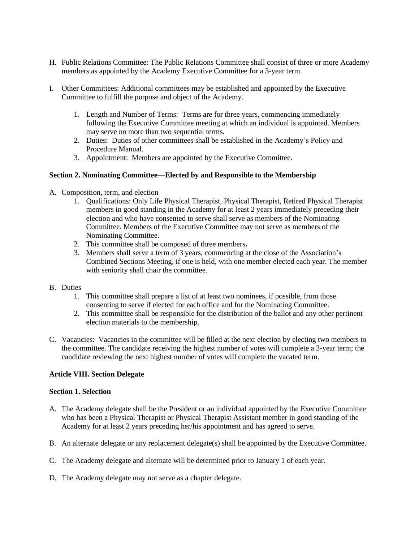- H. Public Relations Committee: The Public Relations Committee shall consist of three or more Academy members as appointed by the Academy Executive Committee for a 3-year term.
- I. Other Committees: Additional committees may be established and appointed by the Executive Committee to fulfill the purpose and object of the Academy.
	- 1. Length and Number of Terms: Terms are for three years, commencing immediately following the Executive Committee meeting at which an individual is appointed. Members may serve no more than two sequential terms.
	- 2. Duties: Duties of other committees shall be established in the Academy's Policy and Procedure Manual.
	- 3. Appointment: Members are appointed by the Executive Committee.

# **Section 2. Nominating Committee—Elected by and Responsible to the Membership**

- A. Composition, term, and election
	- 1. Qualifications: Only Life Physical Therapist, Physical Therapist, Retired Physical Therapist members in good standing in the Academy for at least 2 years immediately preceding their election and who have consented to serve shall serve as members of the Nominating Committee. Members of the Executive Committee may not serve as members of the Nominating Committee.
	- 2. This committee shall be composed of three members**.**
	- 3. Members shall serve a term of 3 years, commencing at the close of the Association's Combined Sections Meeting, if one is held, with one member elected each year. The member with seniority shall chair the committee.
- B. Duties
	- 1. This committee shall prepare a list of at least two nominees, if possible, from those consenting to serve if elected for each office and for the Nominating Committee.
	- 2. This committee shall be responsible for the distribution of the ballot and any other pertinent election materials to the membership.
- C. Vacancies: Vacancies in the committee will be filled at the next election by electing two members to the committee. The candidate receiving the highest number of votes will complete a 3-year term; the candidate reviewing the next highest number of votes will complete the vacated term.

# **Article VIII. Section Delegate**

### **Section 1. Selection**

- A. The Academy delegate shall be the President or an individual appointed by the Executive Committee who has been a Physical Therapist or Physical Therapist Assistant member in good standing of the Academy for at least 2 years preceding her/his appointment and has agreed to serve.
- B. An alternate delegate or any replacement delegate(s) shall be appointed by the Executive Committee.
- C. The Academy delegate and alternate will be determined prior to January 1 of each year.
- D. The Academy delegate may not serve as a chapter delegate.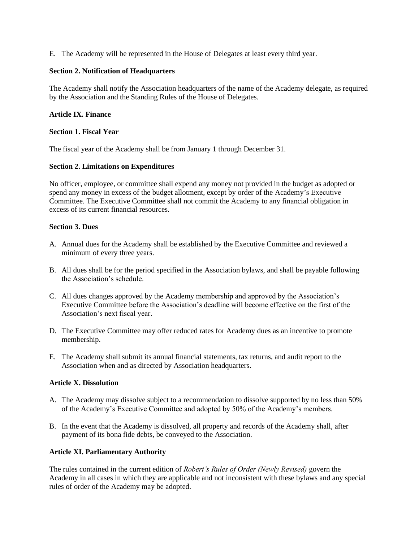E. The Academy will be represented in the House of Delegates at least every third year.

### **Section 2. Notification of Headquarters**

The Academy shall notify the Association headquarters of the name of the Academy delegate, as required by the Association and the Standing Rules of the House of Delegates.

### **Article IX. Finance**

### **Section 1. Fiscal Year**

The fiscal year of the Academy shall be from January 1 through December 31.

### **Section 2. Limitations on Expenditures**

No officer, employee, or committee shall expend any money not provided in the budget as adopted or spend any money in excess of the budget allotment, except by order of the Academy's Executive Committee. The Executive Committee shall not commit the Academy to any financial obligation in excess of its current financial resources.

### **Section 3. Dues**

- A. Annual dues for the Academy shall be established by the Executive Committee and reviewed a minimum of every three years.
- B. All dues shall be for the period specified in the Association bylaws, and shall be payable following the Association's schedule.
- C. All dues changes approved by the Academy membership and approved by the Association's Executive Committee before the Association's deadline will become effective on the first of the Association's next fiscal year.
- D. The Executive Committee may offer reduced rates for Academy dues as an incentive to promote membership.
- E. The Academy shall submit its annual financial statements, tax returns, and audit report to the Association when and as directed by Association headquarters.

# **Article X. Dissolution**

- A. The Academy may dissolve subject to a recommendation to dissolve supported by no less than 50% of the Academy's Executive Committee and adopted by 50% of the Academy's members.
- B. In the event that the Academy is dissolved, all property and records of the Academy shall, after payment of its bona fide debts, be conveyed to the Association.

# **Article XI. Parliamentary Authority**

The rules contained in the current edition of *Robert's Rules of Order (Newly Revised)* govern the Academy in all cases in which they are applicable and not inconsistent with these bylaws and any special rules of order of the Academy may be adopted.